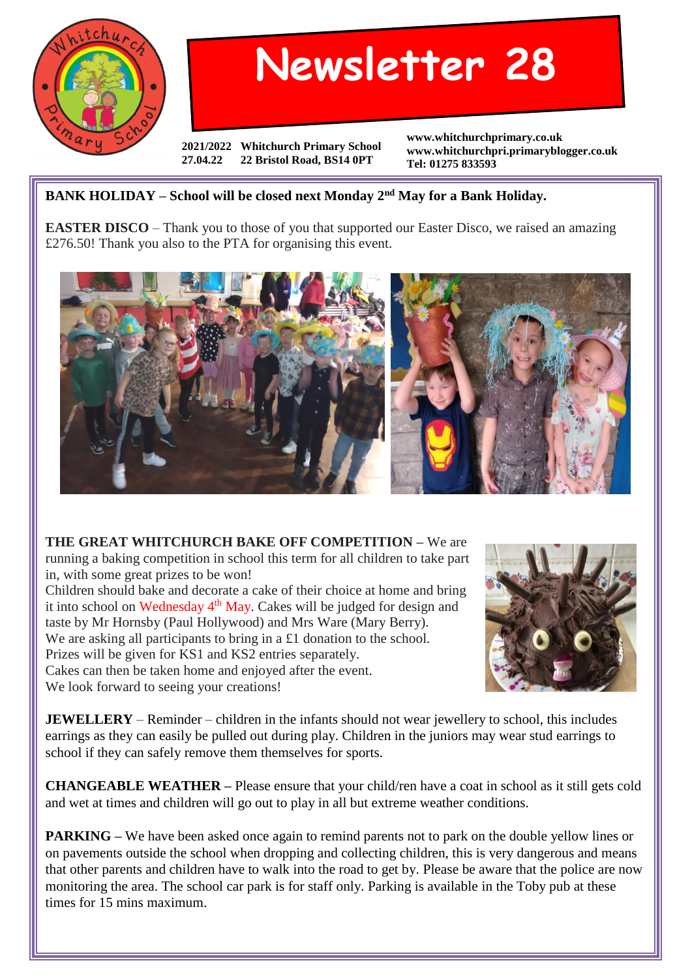

## **Newsletter 28**

**2021/2022 Whitchurch Primary School 27.04.22 22 Bristol Road, BS14 0PT**

**www.whitchurchprimary.co.uk www.whitchurchpri.primaryblogger.co.uk Tel: 01275 833593**

## **BANK HOLIDAY – School will be closed next Monday 2nd May for a Bank Holiday.**

**EASTER DISCO** – Thank you to those of you that supported our Easter Disco, we raised an amazing £276.50! Thank you also to the PTA for organising this event.



**THE GREAT WHITCHURCH BAKE OFF COMPETITION –** We are running a baking competition in school this term for all children to take part in, with some great prizes to be won!

Children should bake and decorate a cake of their choice at home and bring it into school on Wednesday  $4<sup>th</sup>$  May. Cakes will be judged for design and taste by Mr Hornsby (Paul Hollywood) and Mrs Ware (Mary Berry). We are asking all participants to bring in a £1 donation to the school. Prizes will be given for KS1 and KS2 entries separately. Cakes can then be taken home and enjoyed after the event. We look forward to seeing your creations!



**JEWELLERY** – Reminder – children in the infants should not wear jewellery to school, this includes earrings as they can easily be pulled out during play. Children in the juniors may wear stud earrings to school if they can safely remove them themselves for sports.

**CHANGEABLE WEATHER –** Please ensure that your child/ren have a coat in school as it still gets cold and wet at times and children will go out to play in all but extreme weather conditions.

**PARKING** – We have been asked once again to remind parents not to park on the double yellow lines or on pavements outside the school when dropping and collecting children, this is very dangerous and means that other parents and children have to walk into the road to get by. Please be aware that the police are now monitoring the area. The school car park is for staff only. Parking is available in the Toby pub at these times for 15 mins maximum.